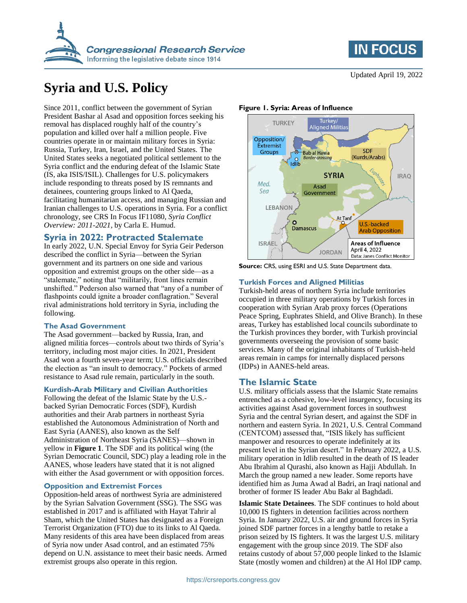



# **Syria and U.S. Policy**

Since 2011, conflict between the government of Syrian President Bashar al Asad and opposition forces seeking his removal has displaced roughly half of the country's population and killed over half a million people. Five countries operate in or maintain military forces in Syria: Russia, Turkey, Iran, Israel, and the United States. The United States seeks a negotiated political settlement to the Syria conflict and the enduring defeat of the Islamic State (IS, aka ISIS/ISIL). Challenges for U.S. policymakers include responding to threats posed by IS remnants and detainees, countering groups linked to Al Qaeda, facilitating humanitarian access, and managing Russian and Iranian challenges to U.S. operations in Syria. For a conflict chronology, see CRS In Focus IF11080, *Syria Conflict Overview: 2011-2021*, by Carla E. Humud.

### **Syria in 2022: Protracted Stalemate**

In early 2022, U.N. Special Envoy for Syria Geir Pederson described the conflict in Syria—between the Syrian government and its partners on one side and various opposition and extremist groups on the other side—as a "stalemate," noting that "militarily, front lines remain unshifted." Pederson also warned that "any of a number of flashpoints could ignite a broader conflagration." Several rival administrations hold territory in Syria, including the following.

#### **The Asad Government**

The Asad government—backed by Russia, Iran, and aligned militia forces—controls about two thirds of Syria's territory, including most major cities. In 2021, President Asad won a fourth seven-year term; U.S. officials described the election as "an insult to democracy." Pockets of armed resistance to Asad rule remain, particularly in the south.

#### **Kurdish-Arab Military and Civilian Authorities**

Following the defeat of the Islamic State by the U.S. backed Syrian Democratic Forces (SDF), Kurdish authorities and their Arab partners in northeast Syria established the Autonomous Administration of North and East Syria (AANES), also known as the Self Administration of Northeast Syria (SANES)—shown in yellow in **[Figure 1](#page-0-0)**. The SDF and its political wing (the Syrian Democratic Council, SDC) play a leading role in the AANES, whose leaders have stated that it is not aligned with either the Asad government or with opposition forces.

#### **Opposition and Extremist Forces**

Opposition-held areas of northwest Syria are administered by the Syrian Salvation Government (SSG). The SSG was established in 2017 and is affiliated with Hayat Tahrir al Sham, which the United States has designated as a Foreign Terrorist Organization (FTO) due to its links to Al Qaeda. Many residents of this area have been displaced from areas of Syria now under Asad control, and an estimated 75% depend on U.N. assistance to meet their basic needs. Armed extremist groups also operate in this region.

Updated April 19, 2022

#### <span id="page-0-0"></span>**Figure 1. Syria: Areas of Influence**



**Source:** CRS, using ESRI and U.S. State Department data.

#### **Turkish Forces and Aligned Militias**

Turkish-held areas of northern Syria include territories occupied in three military operations by Turkish forces in cooperation with Syrian Arab proxy forces (Operations Peace Spring, Euphrates Shield, and Olive Branch). In these areas, Turkey has established local councils subordinate to the Turkish provinces they border, with Turkish provincial governments overseeing the provision of some basic services. Many of the original inhabitants of Turkish-held areas remain in camps for internally displaced persons (IDPs) in AANES-held areas.

# **The Islamic State**

U.S. military officials assess that the Islamic State remains entrenched as a cohesive, low-level insurgency, focusing its activities against Asad government forces in southwest Syria and the central Syrian desert, and against the SDF in northern and eastern Syria. In 2021, U.S. Central Command (CENTCOM) assessed that, "ISIS likely has sufficient manpower and resources to operate indefinitely at its present level in the Syrian desert." In February 2022, a U.S. military operation in Idlib resulted in the death of IS leader Abu Ibrahim al Qurashi, also known as Hajji Abdullah. In March the group named a new leader. Some reports have identified him as Juma Awad al Badri, an Iraqi national and brother of former IS leader Abu Bakr al Baghdadi.

**Islamic State Detainees**. The SDF continues to hold about 10,000 IS fighters in detention facilities across northern Syria. In January 2022, U.S. air and ground forces in Syria joined SDF partner forces in a lengthy battle to retake a prison seized by IS fighters. It was the largest U.S. military engagement with the group since 2019. The SDF also retains custody of about 57,000 people linked to the Islamic State (mostly women and children) at the Al Hol IDP camp.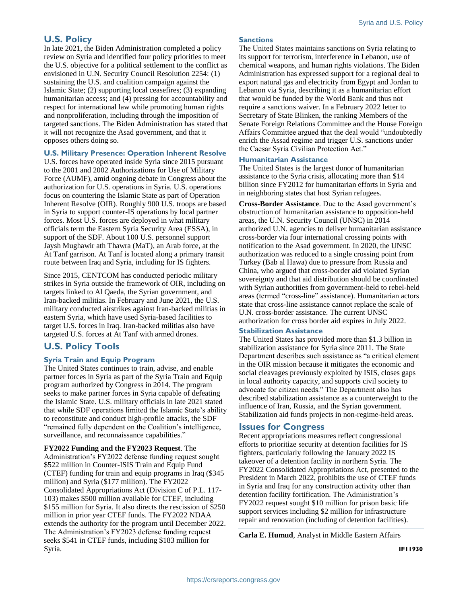# **U.S. Policy**

In late 2021, the Biden Administration completed a policy review on Syria and identified four policy priorities to meet the U.S. objective for a political settlement to the conflict as envisioned in U.N. Security Council Resolution 2254: (1) sustaining the U.S. and coalition campaign against the Islamic State; (2) supporting local ceasefires; (3) expanding humanitarian access; and (4) pressing for accountability and respect for international law while promoting human rights and nonproliferation, including through the imposition of targeted sanctions. The Biden Administration has stated that it will not recognize the Asad government, and that it opposes others doing so.

#### **U.S. Military Presence: Operation Inherent Resolve**

U.S. forces have operated inside Syria since 2015 pursuant to the 2001 and 2002 Authorizations for Use of Military Force (AUMF), amid ongoing debate in Congress about the authorization for U.S. operations in Syria. U.S. operations focus on countering the Islamic State as part of Operation Inherent Resolve (OIR). Roughly 900 U.S. troops are based in Syria to support counter-IS operations by local partner forces. Most U.S. forces are deployed in what military officials term the Eastern Syria Security Area (ESSA), in support of the SDF. About 100 U.S. personnel support Jaysh Mughawir ath Thawra (MaT), an Arab force, at the At Tanf garrison. At Tanf is located along a primary transit route between Iraq and Syria, including for IS fighters.

Since 2015, CENTCOM has conducted periodic military strikes in Syria outside the framework of OIR, including on targets linked to Al Qaeda, the Syrian government, and Iran-backed militias. In February and June 2021, the U.S. military conducted airstrikes against Iran-backed militias in eastern Syria, which have used Syria-based facilities to target U.S. forces in Iraq. Iran-backed militias also have targeted U.S. forces at At Tanf with armed drones.

# **U.S. Policy Tools**

#### **Syria Train and Equip Program**

The United States continues to train, advise, and enable partner forces in Syria as part of the Syria Train and Equip program authorized by Congress in 2014. The program seeks to make partner forces in Syria capable of defeating the Islamic State. U.S. military officials in late 2021 stated that while SDF operations limited the Islamic State's ability to reconstitute and conduct high-profile attacks, the SDF "remained fully dependent on the Coalition's intelligence, surveillance, and reconnaissance capabilities."

**FY2022 Funding and the FY2023 Request**. The Administration's FY2022 defense funding request sought \$522 million in Counter-ISIS Train and Equip Fund (CTEF) funding for train and equip programs in Iraq (\$345 million) and Syria (\$177 million). The FY2022 Consolidated Appropriations Act (Division C of P.L. 117- 103) makes \$500 million available for CTEF, including \$155 million for Syria. It also directs the rescission of \$250 million in prior year CTEF funds. The FY2022 NDAA extends the authority for the program until December 2022. The Administration's FY2023 defense funding request seeks \$541 in CTEF funds, including \$183 million for Syria.

#### **Sanctions**

The United States maintains sanctions on Syria relating to its support for terrorism, interference in Lebanon, use of chemical weapons, and human rights violations. The Biden Administration has expressed support for a regional deal to export natural gas and electricity from Egypt and Jordan to Lebanon via Syria, describing it as a humanitarian effort that would be funded by the World Bank and thus not require a sanctions waiver. In a February 2022 letter to Secretary of State Blinken, the ranking Members of the Senate Foreign Relations Committee and the House Foreign Affairs Committee argued that the deal would "undoubtedly enrich the Assad regime and trigger U.S. sanctions under the Caesar Syria Civilian Protection Act."

#### **Humanitarian Assistance**

The United States is the largest donor of humanitarian assistance to the Syria crisis, allocating more than \$14 billion since FY2012 for humanitarian efforts in Syria and in neighboring states that host Syrian refugees.

**Cross-Border Assistance**. Due to the Asad government's obstruction of humanitarian assistance to opposition-held areas, the U.N. Security Council (UNSC) in 2014 authorized U.N. agencies to deliver humanitarian assistance cross-border via four international crossing points with notification to the Asad government. In 2020, the UNSC authorization was reduced to a single crossing point from Turkey (Bab al Hawa) due to pressure from Russia and China, who argued that cross-border aid violated Syrian sovereignty and that aid distribution should be coordinated with Syrian authorities from government-held to rebel-held areas (termed "cross-line" assistance). Humanitarian actors state that cross-line assistance cannot replace the scale of U.N. cross-border assistance. The current UNSC authorization for cross border aid expires in July 2022.

#### **Stabilization Assistance**

The United States has provided more than \$1.3 billion in stabilization assistance for Syria since 2011. The State Department describes such assistance as "a critical element in the OIR mission because it mitigates the economic and social cleavages previously exploited by ISIS, closes gaps in local authority capacity, and supports civil society to advocate for citizen needs." The Department also has described stabilization assistance as a counterweight to the influence of Iran, Russia, and the Syrian government. Stabilization aid funds projects in non-regime-held areas.

#### **Issues for Congress**

Recent appropriations measures reflect congressional efforts to prioritize security at detention facilities for IS fighters, particularly following the January 2022 IS takeover of a detention facility in northern Syria. The FY2022 Consolidated Appropriations Act, presented to the President in March 2022, prohibits the use of CTEF funds in Syria and Iraq for any construction activity other than detention facility fortification. The Administration's FY2022 request sought \$10 million for prison basic life support services including \$2 million for infrastructure repair and renovation (including of detention facilities).

**Carla E. Humud**, Analyst in Middle Eastern Affairs